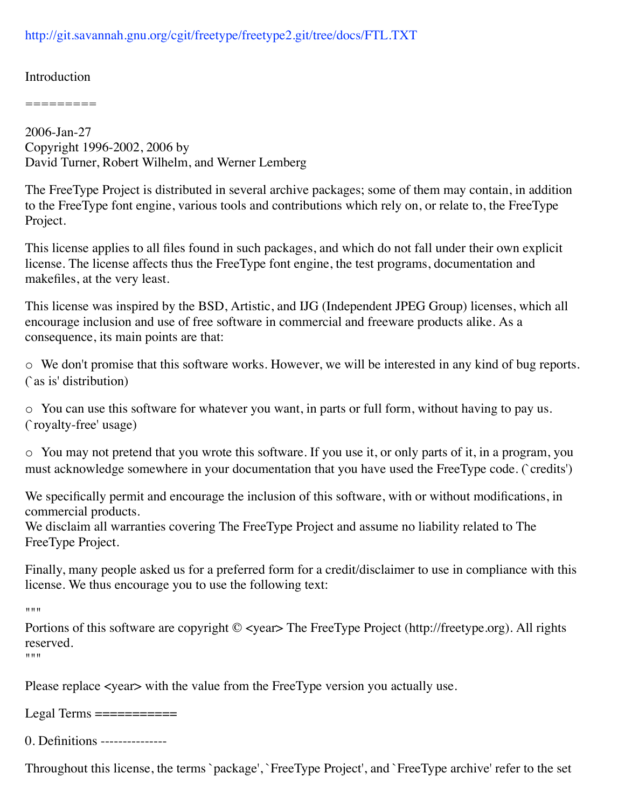## http://git.savannah.gnu.org/cgit/freetype/freetype2.git/tree/docs/FTL.TXT

## Introduction

=========

2006-Jan-27 Copyright 1996-2002, 2006 by David Turner, Robert Wilhelm, and Werner Lemberg

The FreeType Project is distributed in several archive packages; some of them may contain, in addition to the FreeType font engine, various tools and contributions which rely on, or relate to, the FreeType Project.

This license applies to all files found in such packages, and which do not fall under their own explicit license. The license affects thus the FreeType font engine, the test programs, documentation and makefiles, at the very least.

This license was inspired by the BSD, Artistic, and IJG (Independent JPEG Group) licenses, which all encourage inclusion and use of free software in commercial and freeware products alike. As a consequence, its main points are that:

o We don't promise that this software works. However, we will be interested in any kind of bug reports. (`as is' distribution)

o You can use this software for whatever you want, in parts or full form, without having to pay us. (`royalty-free' usage)

o You may not pretend that you wrote this software. If you use it, or only parts of it, in a program, you must acknowledge somewhere in your documentation that you have used the FreeType code. (`credits')

We specifically permit and encourage the inclusion of this software, with or without modifications, in commercial products.

We disclaim all warranties covering The FreeType Project and assume no liability related to The FreeType Project.

Finally, many people asked us for a preferred form for a credit/disclaimer to use in compliance with this license. We thus encourage you to use the following text:

"""

Portions of this software are copyright © <year> The FreeType Project (http://freetype.org). All rights reserved.

"" ""

Please replace <year> with the value from the FreeType version you actually use.

Legal Terms ===========

0. Definitions ---------------

Throughout this license, the terms `package', `FreeType Project', and `FreeType archive' refer to the set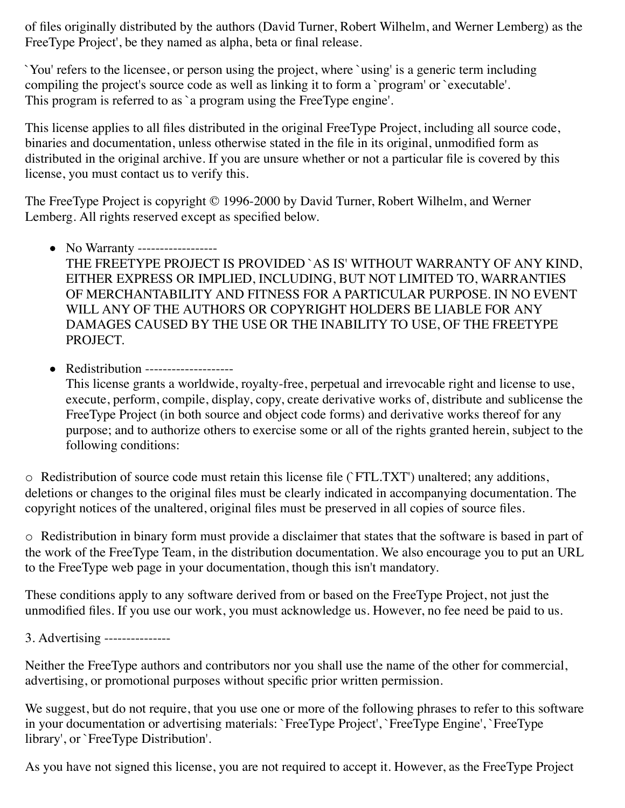of files originally distributed by the authors (David Turner, Robert Wilhelm, and Werner Lemberg) as the FreeType Project', be they named as alpha, beta or final release.

`You' refers to the licensee, or person using the project, where `using' is a generic term including compiling the project's source code as well as linking it to form a `program' or `executable'. This program is referred to as `a program using the FreeType engine'.

This license applies to all files distributed in the original FreeType Project, including all source code, binaries and documentation, unless otherwise stated in the file in its original, unmodified form as distributed in the original archive. If you are unsure whether or not a particular file is covered by this license, you must contact us to verify this.

The FreeType Project is copyright © 1996-2000 by David Turner, Robert Wilhelm, and Werner Lemberg. All rights reserved except as specified below.

• No Warranty ------------------

THE FREETYPE PROJECT IS PROVIDED `AS IS' WITHOUT WARRANTY OF ANY KIND, EITHER EXPRESS OR IMPLIED, INCLUDING, BUT NOT LIMITED TO, WARRANTIES OF MERCHANTABILITY AND FITNESS FOR A PARTICULAR PURPOSE. IN NO EVENT WILL ANY OF THE AUTHORS OR COPYRIGHT HOLDERS BE LIABLE FOR ANY DAMAGES CAUSED BY THE USE OR THE INABILITY TO USE, OF THE FREETYPE PROJECT.

## • Redistribution --------------------

This license grants a worldwide, royalty-free, perpetual and irrevocable right and license to use, execute, perform, compile, display, copy, create derivative works of, distribute and sublicense the FreeType Project (in both source and object code forms) and derivative works thereof for any purpose; and to authorize others to exercise some or all of the rights granted herein, subject to the following conditions:

o Redistribution of source code must retain this license file (`FTL.TXT') unaltered; any additions, deletions or changes to the original files must be clearly indicated in accompanying documentation. The copyright notices of the unaltered, original files must be preserved in all copies of source files.

o Redistribution in binary form must provide a disclaimer that states that the software is based in part of the work of the FreeType Team, in the distribution documentation. We also encourage you to put an URL to the FreeType web page in your documentation, though this isn't mandatory.

These conditions apply to any software derived from or based on the FreeType Project, not just the unmodified files. If you use our work, you must acknowledge us. However, no fee need be paid to us.

3. Advertising ---------------

Neither the FreeType authors and contributors nor you shall use the name of the other for commercial, advertising, or promotional purposes without specific prior written permission.

We suggest, but do not require, that you use one or more of the following phrases to refer to this software in your documentation or advertising materials: `FreeType Project', `FreeType Engine', `FreeType library', or `FreeType Distribution'.

As you have not signed this license, you are not required to accept it. However, as the FreeType Project